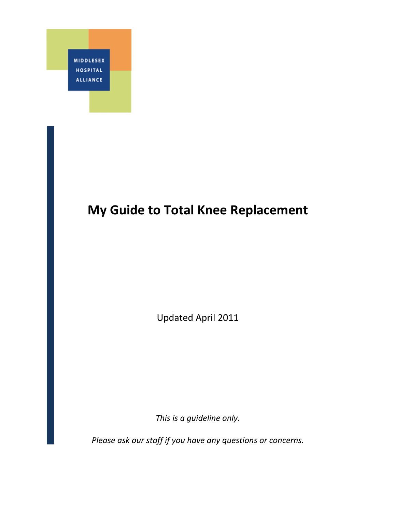

# **My Guide to Total Knee Replacement**

Updated April 2011

*This is a guideline only.* 

*Please ask our staff if you have any questions or concerns.*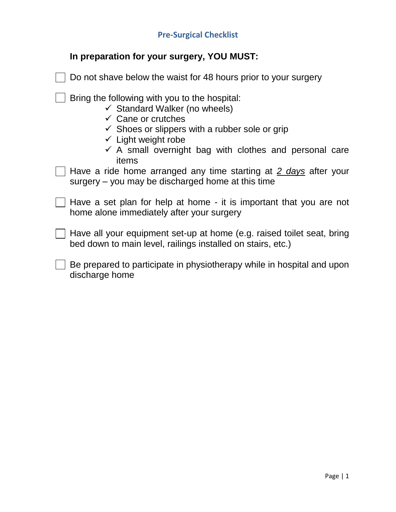<span id="page-1-0"></span>

| In preparation for your surgery, YOU MUST: |
|--------------------------------------------|
|--------------------------------------------|

| Do not shave below the waist for 48 hours prior to your surgery                                                                                                                                                                                                                                         |
|---------------------------------------------------------------------------------------------------------------------------------------------------------------------------------------------------------------------------------------------------------------------------------------------------------|
| Bring the following with you to the hospital:<br>$\checkmark$ Standard Walker (no wheels)<br>$\checkmark$ Cane or crutches<br>$\checkmark$ Shoes or slippers with a rubber sole or grip<br>$\checkmark$ Light weight robe<br>$\checkmark$ A small overnight bag with clothes and personal care<br>items |
| Have a ride home arranged any time starting at 2 days after your<br>surgery – you may be discharged home at this time                                                                                                                                                                                   |
| Have a set plan for help at home - it is important that you are not<br>home alone immediately after your surgery                                                                                                                                                                                        |
| Have all your equipment set-up at home (e.g. raised toilet seat, bring<br>bed down to main level, railings installed on stairs, etc.)                                                                                                                                                                   |
| Be prepared to participate in physiotherapy while in hospital and upon<br>discharge home                                                                                                                                                                                                                |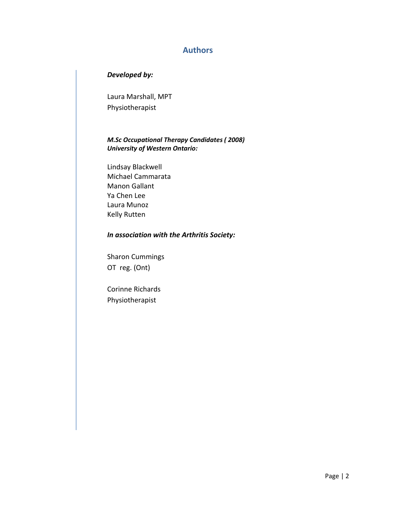### <span id="page-2-0"></span>**Authors**

### *Developed by:*

Laura Marshall, MPT Physiotherapist

### *M.Sc Occupational Therapy Candidates ( 2008) University of Western Ontario:*

Lindsay Blackwell Michael Cammarata Manon Gallant Ya Chen Lee Laura Munoz Kelly Rutten

### *In association with the Arthritis Society:*

Sharon Cummings OT reg. (Ont)

Corinne Richards Physiotherapist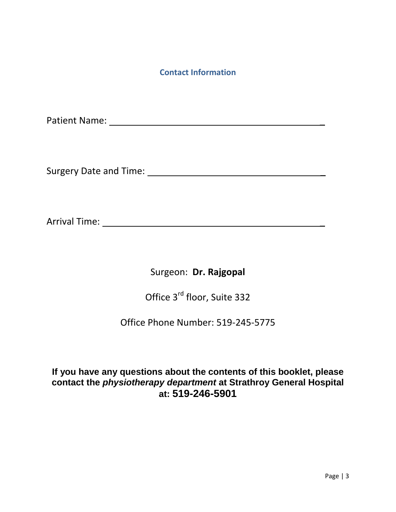### **Contact Information**

<span id="page-3-0"></span>Patient Name: **We are also considered** and the constant of the constant of the constant of the constant of the constant of the constant of the constant of the constant of the constant of the constant of the constant of the

Surgery Date and Time: \_

Arrival Time: \_

Surgeon: **Dr. Rajgopal**

Office 3rd floor, Suite 332

Office Phone Number: 519-245-5775

**If you have any questions about the contents of this booklet, please contact the** *physiotherapy department* **at Strathroy General Hospital at: 519-246-5901**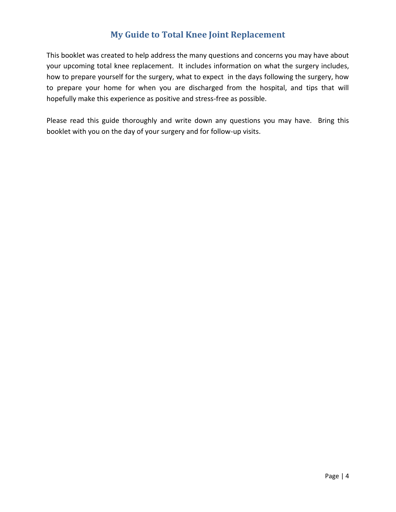## **My Guide to Total Knee Joint Replacement**

<span id="page-4-0"></span>This booklet was created to help address the many questions and concerns you may have about your upcoming total knee replacement. It includes information on what the surgery includes, how to prepare yourself for the surgery, what to expect in the days following the surgery, how to prepare your home for when you are discharged from the hospital, and tips that will hopefully make this experience as positive and stress-free as possible.

Please read this guide thoroughly and write down any questions you may have. Bring this booklet with you on the day of your surgery and for follow-up visits.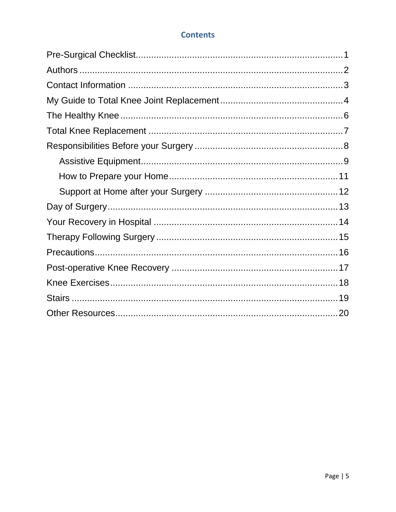### **Contents**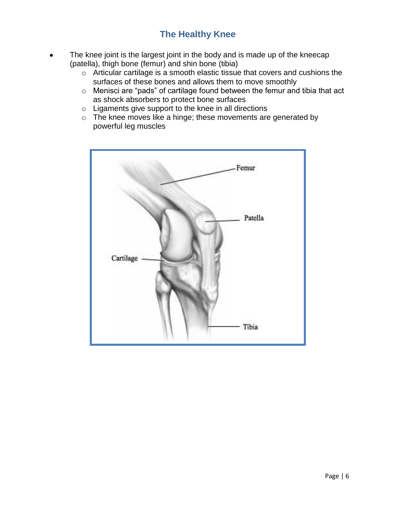## **The Healthy Knee**

- <span id="page-6-0"></span>The knee joint is the largest joint in the body and is made up of the kneecap (patella), thigh bone (femur) and shin bone (tibia)
	- o Articular cartilage is a smooth elastic tissue that covers and cushions the surfaces of these bones and allows them to move smoothly
	- o Menisci are "pads" of cartilage found between the femur and tibia that act as shock absorbers to protect bone surfaces
	- $\circ$  Ligaments give support to the knee in all directions
	- o The knee moves like a hinge; these movements are generated by powerful leg muscles

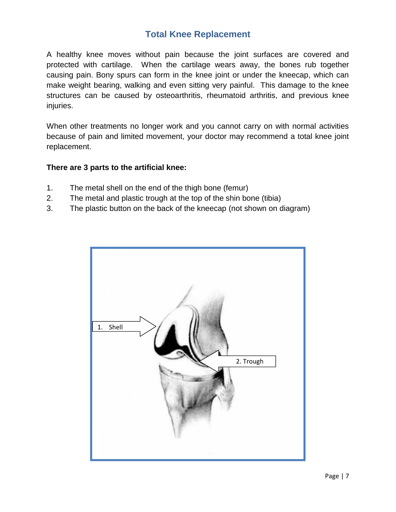## **Total Knee Replacement**

<span id="page-7-0"></span>A healthy knee moves without pain because the joint surfaces are covered and protected with cartilage. When the cartilage wears away, the bones rub together causing pain. Bony spurs can form in the knee joint or under the kneecap, which can make weight bearing, walking and even sitting very painful. This damage to the knee structures can be caused by osteoarthritis, rheumatoid arthritis, and previous knee injuries.

When other treatments no longer work and you cannot carry on with normal activities because of pain and limited movement, your doctor may recommend a total knee joint replacement.

### **There are 3 parts to the artificial knee:**

- 1. The metal shell on the end of the thigh bone (femur)
- 2. The metal and plastic trough at the top of the shin bone (tibia)
- 3. The plastic button on the back of the kneecap (not shown on diagram)

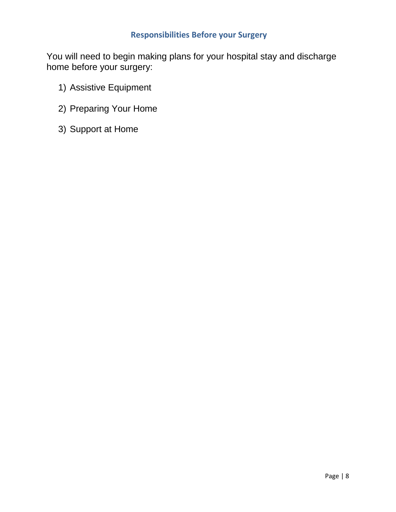### <span id="page-8-0"></span>**Responsibilities Before your Surgery**

You will need to begin making plans for your hospital stay and discharge home before your surgery:

- 1) Assistive Equipment
- 2) Preparing Your Home
- 3) Support at Home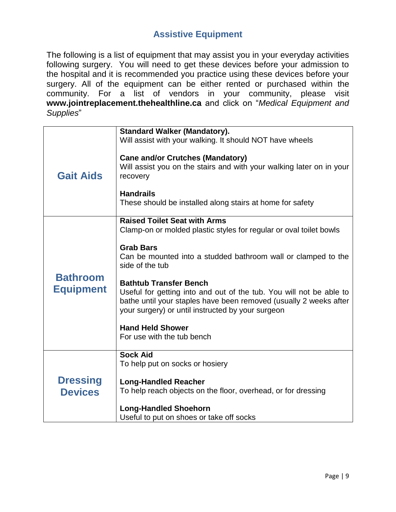## **Assistive Equipment**

<span id="page-9-0"></span>The following is a list of equipment that may assist you in your everyday activities following surgery. You will need to get these devices before your admission to the hospital and it is recommended you practice using these devices before your surgery. All of the equipment can be either rented or purchased within the community. For a list of vendors in your community, please visit **www.jointreplacement.thehealthline.ca** and click on "*Medical Equipment and Supplies*"

| <b>Gait Aids</b>                    | <b>Standard Walker (Mandatory).</b><br>Will assist with your walking. It should NOT have wheels                                          |
|-------------------------------------|------------------------------------------------------------------------------------------------------------------------------------------|
|                                     |                                                                                                                                          |
|                                     | <b>Cane and/or Crutches (Mandatory)</b><br>Will assist you on the stairs and with your walking later on in your                          |
|                                     | recovery                                                                                                                                 |
|                                     | <b>Handrails</b>                                                                                                                         |
|                                     | These should be installed along stairs at home for safety                                                                                |
| <b>Bathroom</b><br><b>Equipment</b> | <b>Raised Toilet Seat with Arms</b>                                                                                                      |
|                                     | Clamp-on or molded plastic styles for regular or oval toilet bowls                                                                       |
|                                     | <b>Grab Bars</b>                                                                                                                         |
|                                     | Can be mounted into a studded bathroom wall or clamped to the<br>side of the tub                                                         |
|                                     | <b>Bathtub Transfer Bench</b>                                                                                                            |
|                                     | Useful for getting into and out of the tub. You will not be able to<br>bathe until your staples have been removed (usually 2 weeks after |
|                                     | your surgery) or until instructed by your surgeon                                                                                        |
|                                     | <b>Hand Held Shower</b>                                                                                                                  |
|                                     | For use with the tub bench                                                                                                               |
|                                     | <b>Sock Aid</b>                                                                                                                          |
|                                     | To help put on socks or hosiery                                                                                                          |
| <b>Dressing</b>                     | <b>Long-Handled Reacher</b>                                                                                                              |
| <b>Devices</b>                      | To help reach objects on the floor, overhead, or for dressing                                                                            |
|                                     | <b>Long-Handled Shoehorn</b>                                                                                                             |
|                                     | Useful to put on shoes or take off socks                                                                                                 |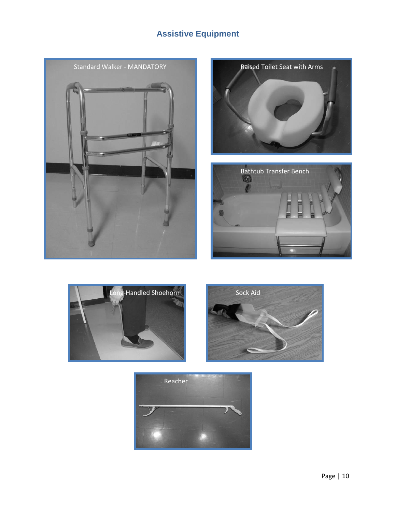## **Assistive Equipment**











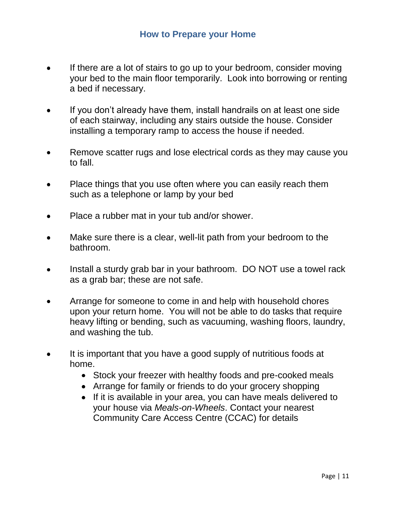- <span id="page-11-0"></span>If there are a lot of stairs to go up to your bedroom, consider moving  $\bullet$ your bed to the main floor temporarily. Look into borrowing or renting a bed if necessary.
- If you don't already have them, install handrails on at least one side of each stairway, including any stairs outside the house. Consider installing a temporary ramp to access the house if needed.
- Remove scatter rugs and lose electrical cords as they may cause you to fall.
- Place things that you use often where you can easily reach them such as a telephone or lamp by your bed
- Place a rubber mat in your tub and/or shower.
- Make sure there is a clear, well-lit path from your bedroom to the bathroom.
- Install a sturdy grab bar in your bathroom. DO NOT use a towel rack as a grab bar; these are not safe.
- Arrange for someone to come in and help with household chores upon your return home. You will not be able to do tasks that require heavy lifting or bending, such as vacuuming, washing floors, laundry, and washing the tub.
- It is important that you have a good supply of nutritious foods at  $\bullet$ home.
	- Stock your freezer with healthy foods and pre-cooked meals
	- Arrange for family or friends to do your grocery shopping
	- If it is available in your area, you can have meals delivered to your house via *Meals-on-Wheels*. Contact your nearest Community Care Access Centre (CCAC) for details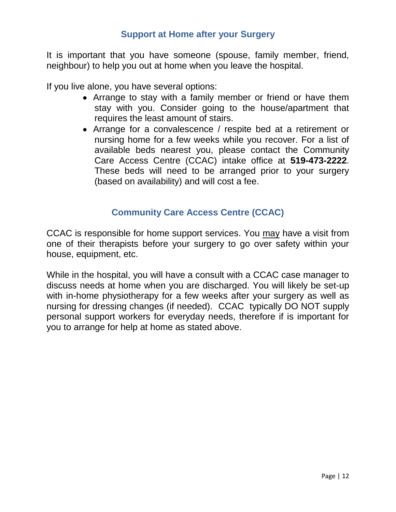### **Support at Home after your Surgery**

<span id="page-12-0"></span>It is important that you have someone (spouse, family member, friend, neighbour) to help you out at home when you leave the hospital.

If you live alone, you have several options:

- Arrange to stay with a family member or friend or have them stay with you. Consider going to the house/apartment that requires the least amount of stairs.
- Arrange for a convalescence / respite bed at a retirement or nursing home for a few weeks while you recover. For a list of available beds nearest you, please contact the Community Care Access Centre (CCAC) intake office at **519-473-2222**. These beds will need to be arranged prior to your surgery (based on availability) and will cost a fee.

## **Community Care Access Centre (CCAC)**

CCAC is responsible for home support services. You may have a visit from one of their therapists before your surgery to go over safety within your house, equipment, etc.

While in the hospital, you will have a consult with a CCAC case manager to discuss needs at home when you are discharged. You will likely be set-up with in-home physiotherapy for a few weeks after your surgery as well as nursing for dressing changes (if needed). CCAC typically DO NOT supply personal support workers for everyday needs, therefore if is important for you to arrange for help at home as stated above.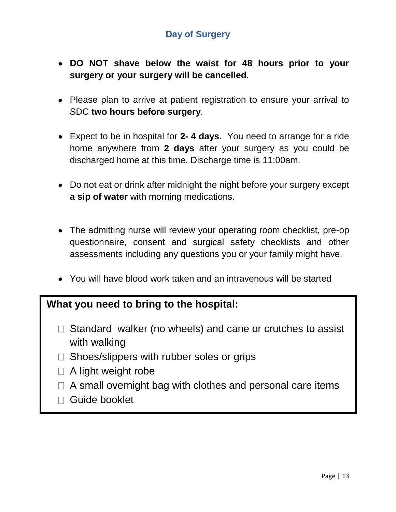## **Day of Surgery**

- <span id="page-13-0"></span>**DO NOT shave below the waist for 48 hours prior to your surgery or your surgery will be cancelled.**
- Please plan to arrive at patient registration to ensure your arrival to SDC **two hours before surgery**.
- Expect to be in hospital for **2- 4 days**. You need to arrange for a ride home anywhere from **2 days** after your surgery as you could be discharged home at this time. Discharge time is 11:00am.
- Do not eat or drink after midnight the night before your surgery except **a sip of water** with morning medications.
- The admitting nurse will review your operating room checklist, pre-op questionnaire, consent and surgical safety checklists and other assessments including any questions you or your family might have.
- You will have blood work taken and an intravenous will be started

## **What you need to bring to the hospital:**

- $\Box$  Standard walker (no wheels) and cane or crutches to assist with walking
- $\Box$  Shoes/slippers with rubber soles or grips
- $\Box$  A light weight robe
- $\Box$  A small overnight bag with clothes and personal care items
- □ Guide booklet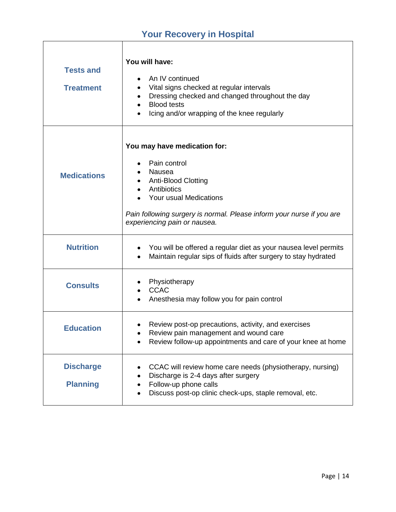## **Your Recovery in Hospital**

<span id="page-14-0"></span>Î.

| <b>Tests and</b><br><b>Treatment</b> | You will have:<br>An IV continued<br>Vital signs checked at regular intervals<br>Dressing checked and changed throughout the day<br>٠<br><b>Blood tests</b><br>$\bullet$<br>Icing and/or wrapping of the knee regularly                     |
|--------------------------------------|---------------------------------------------------------------------------------------------------------------------------------------------------------------------------------------------------------------------------------------------|
| <b>Medications</b>                   | You may have medication for:<br>Pain control<br>Nausea<br>Anti-Blood Clotting<br>٠<br>Antibiotics<br><b>Your usual Medications</b><br>Pain following surgery is normal. Please inform your nurse if you are<br>experiencing pain or nausea. |
| <b>Nutrition</b>                     | You will be offered a regular diet as your nausea level permits<br>٠<br>Maintain regular sips of fluids after surgery to stay hydrated<br>$\bullet$                                                                                         |
| <b>Consults</b>                      | Physiotherapy<br><b>CCAC</b><br>$\bullet$<br>Anesthesia may follow you for pain control<br>٠                                                                                                                                                |
| <b>Education</b>                     | Review post-op precautions, activity, and exercises<br>Review pain management and wound care<br>Review follow-up appointments and care of your knee at home                                                                                 |
| <b>Discharge</b><br><b>Planning</b>  | CCAC will review home care needs (physiotherapy, nursing)<br>٠<br>Discharge is 2-4 days after surgery<br>٠<br>Follow-up phone calls<br>٠<br>Discuss post-op clinic check-ups, staple removal, etc.                                          |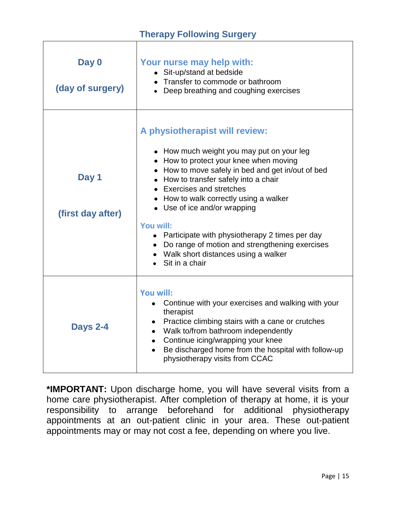## **Therapy Following Surgery**

<span id="page-15-0"></span>

| Day 0<br>(day of surgery)  | Your nurse may help with:<br>• Sit-up/stand at bedside<br>• Transfer to commode or bathroom<br>• Deep breathing and coughing exercises                                                                                                                                                                                                                                                                                                                                                                     |
|----------------------------|------------------------------------------------------------------------------------------------------------------------------------------------------------------------------------------------------------------------------------------------------------------------------------------------------------------------------------------------------------------------------------------------------------------------------------------------------------------------------------------------------------|
| Day 1<br>(first day after) | A physiotherapist will review:<br>• How much weight you may put on your leg<br>• How to protect your knee when moving<br>• How to move safely in bed and get in/out of bed<br>• How to transfer safely into a chair<br>• Exercises and stretches<br>• How to walk correctly using a walker<br>• Use of ice and/or wrapping<br>You will:<br>• Participate with physiotherapy 2 times per day<br>• Do range of motion and strengthening exercises<br>• Walk short distances using a walker<br>Sit in a chair |
| <b>Days 2-4</b>            | You will:<br>Continue with your exercises and walking with your<br>therapist<br>Practice climbing stairs with a cane or crutches<br>• Walk to/from bathroom independently<br>• Continue icing/wrapping your knee<br>Be discharged home from the hospital with follow-up<br>$\bullet$<br>physiotherapy visits from CCAC                                                                                                                                                                                     |

**\*IMPORTANT:** Upon discharge home, you will have several visits from a home care physiotherapist. After completion of therapy at home, it is your responsibility to arrange beforehand for additional physiotherapy appointments at an out-patient clinic in your area. These out-patient appointments may or may not cost a fee, depending on where you live.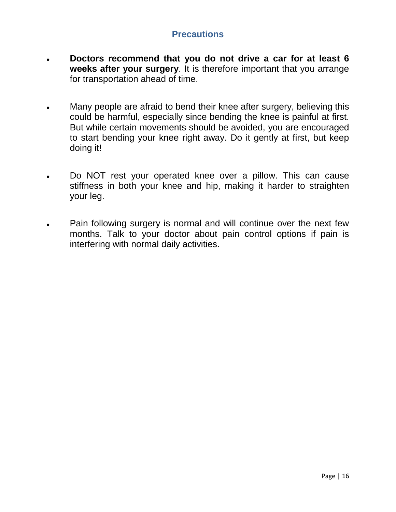## **Precautions**

- <span id="page-16-0"></span>**Doctors recommend that you do not drive a car for at least 6 weeks after your surgery**. It is therefore important that you arrange for transportation ahead of time.
- Many people are afraid to bend their knee after surgery, believing this  $\bullet$ could be harmful, especially since bending the knee is painful at first. But while certain movements should be avoided, you are encouraged to start bending your knee right away. Do it gently at first, but keep doing it!
- Do NOT rest your operated knee over a pillow. This can cause stiffness in both your knee and hip, making it harder to straighten your leg.
- Pain following surgery is normal and will continue over the next few months. Talk to your doctor about pain control options if pain is interfering with normal daily activities.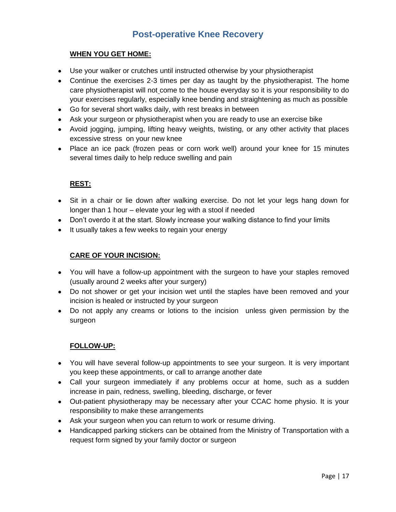## **Post-operative Knee Recovery**

### <span id="page-17-0"></span>**WHEN YOU GET HOME:**

- Use your walker or crutches until instructed otherwise by your physiotherapist
- Continue the exercises 2-3 times per day as taught by the physiotherapist. The home care physiotherapist will not come to the house everyday so it is your responsibility to do your exercises regularly, especially knee bending and straightening as much as possible
- Go for several short walks daily, with rest breaks in between
- Ask your surgeon or physiotherapist when you are ready to use an exercise bike
- Avoid jogging, jumping, lifting heavy weights, twisting, or any other activity that places excessive stress on your new knee
- Place an ice pack (frozen peas or corn work well) around your knee for 15 minutes several times daily to help reduce swelling and pain

### **REST:**

- Sit in a chair or lie down after walking exercise. Do not let your legs hang down for longer than 1 hour – elevate your leg with a stool if needed
- Don't overdo it at the start. Slowly increase your walking distance to find your limits
- It usually takes a few weeks to regain your energy

#### **CARE OF YOUR INCISION:**

- You will have a follow-up appointment with the surgeon to have your staples removed (usually around 2 weeks after your surgery)
- Do not shower or get your incision wet until the staples have been removed and your incision is healed or instructed by your surgeon
- Do not apply any creams or lotions to the incision unless given permission by the surgeon

### **FOLLOW-UP:**

- You will have several follow-up appointments to see your surgeon. It is very important you keep these appointments, or call to arrange another date
- Call your surgeon immediately if any problems occur at home, such as a sudden increase in pain, redness, swelling, bleeding, discharge, or fever
- Out-patient physiotherapy may be necessary after your CCAC home physio. It is your responsibility to make these arrangements
- Ask your surgeon when you can return to work or resume driving.
- Handicapped parking stickers can be obtained from the Ministry of Transportation with a request form signed by your family doctor or surgeon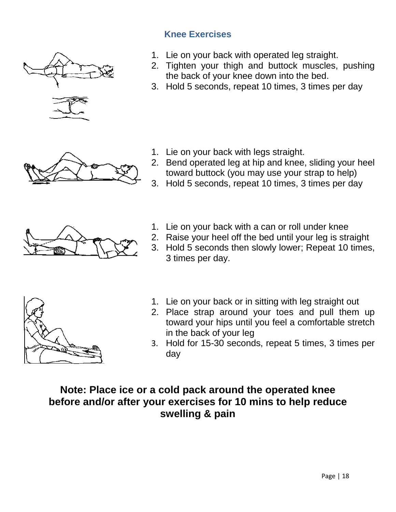<span id="page-18-0"></span>

## **Knee Exercises**

- 1. Lie on your back with operated leg straight.
- 2. Tighten your thigh and buttock muscles, pushing the back of your knee down into the bed.
- 3. Hold 5 seconds, repeat 10 times, 3 times per day

- 1. Lie on your back with legs straight.
- 2. Bend operated leg at hip and knee, sliding your heel toward buttock (you may use your strap to help)
- 3. Hold 5 seconds, repeat 10 times, 3 times per day



- 1. Lie on your back with a can or roll under knee
- 2. Raise your heel off the bed until your leg is straight
- 3. Hold 5 seconds then slowly lower; Repeat 10 times, 3 times per day.



- 1. Lie on your back or in sitting with leg straight out
- 2. Place strap around your toes and pull them up toward your hips until you feel a comfortable stretch in the back of your leg
- 3. Hold for 15-30 seconds, repeat 5 times, 3 times per day

## **Note: Place ice or a cold pack around the operated knee before and/or after your exercises for 10 mins to help reduce swelling & pain**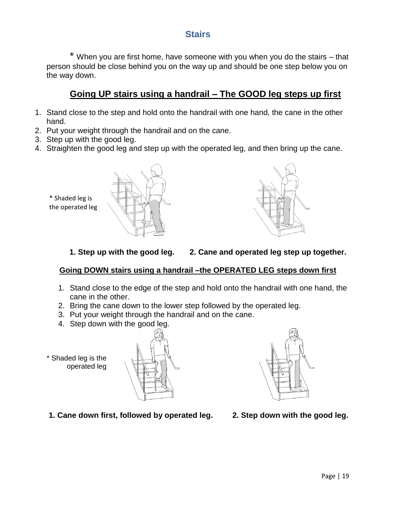### **Stairs**

<span id="page-19-0"></span>\* When you are first home, have someone with you when you do the stairs – that person should be close behind you on the way up and should be one step below you on the way down.

### **Going UP stairs using a handrail – The GOOD leg steps up first**

- 1. Stand close to the step and hold onto the handrail with one hand, the cane in the other hand.
- 2. Put your weight through the handrail and on the cane.
- 3. Step up with the good leg.

\* Shaded leg is the operated leg

4. Straighten the good leg and step up with the operated leg, and then bring up the cane.





 **1. Step up with the good leg. 2. Cane and operated leg step up together.**

### **Going DOWN stairs using a handrail –the OPERATED LEG steps down first**

- 1. Stand close to the edge of the step and hold onto the handrail with one hand, the cane in the other.
- 2. Bring the cane down to the lower step followed by the operated leg.
- 3. Put your weight through the handrail and on the cane.
- 4. Step down with the good leg.
- \* Shaded leg is the operated leg





**1. Cane down first, followed by operated leg. 2. Step down with the good leg.**

Page | 19